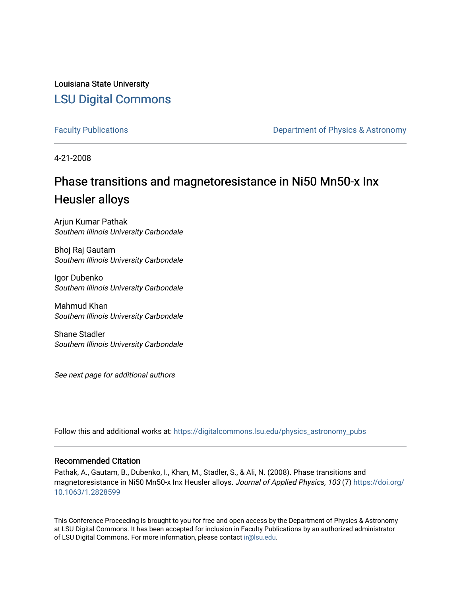Louisiana State University [LSU Digital Commons](https://digitalcommons.lsu.edu/)

[Faculty Publications](https://digitalcommons.lsu.edu/physics_astronomy_pubs) **Exercise 2 and Table 2 and Table 2 and Table 2 and Table 2 and Table 2 and Table 2 and Table 2 and Table 2 and Table 2 and Table 2 and Table 2 and Table 2 and Table 2 and Table 2 and Table 2 and Table** 

4-21-2008

# Phase transitions and magnetoresistance in Ni50 Mn50-x Inx Heusler alloys

Arjun Kumar Pathak Southern Illinois University Carbondale

Bhoj Raj Gautam Southern Illinois University Carbondale

Igor Dubenko Southern Illinois University Carbondale

Mahmud Khan Southern Illinois University Carbondale

Shane Stadler Southern Illinois University Carbondale

See next page for additional authors

Follow this and additional works at: [https://digitalcommons.lsu.edu/physics\\_astronomy\\_pubs](https://digitalcommons.lsu.edu/physics_astronomy_pubs?utm_source=digitalcommons.lsu.edu%2Fphysics_astronomy_pubs%2F5318&utm_medium=PDF&utm_campaign=PDFCoverPages) 

## Recommended Citation

Pathak, A., Gautam, B., Dubenko, I., Khan, M., Stadler, S., & Ali, N. (2008). Phase transitions and magnetoresistance in Ni50 Mn50-x Inx Heusler alloys. Journal of Applied Physics, 103 (7) [https://doi.org/](https://doi.org/10.1063/1.2828599) [10.1063/1.2828599](https://doi.org/10.1063/1.2828599) 

This Conference Proceeding is brought to you for free and open access by the Department of Physics & Astronomy at LSU Digital Commons. It has been accepted for inclusion in Faculty Publications by an authorized administrator of LSU Digital Commons. For more information, please contact [ir@lsu.edu](mailto:ir@lsu.edu).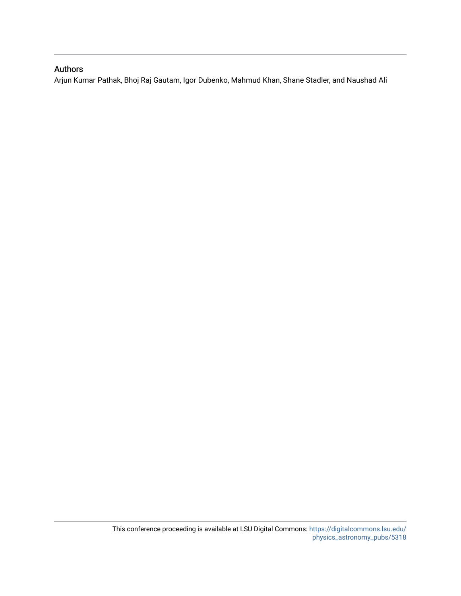## Authors

Arjun Kumar Pathak, Bhoj Raj Gautam, Igor Dubenko, Mahmud Khan, Shane Stadler, and Naushad Ali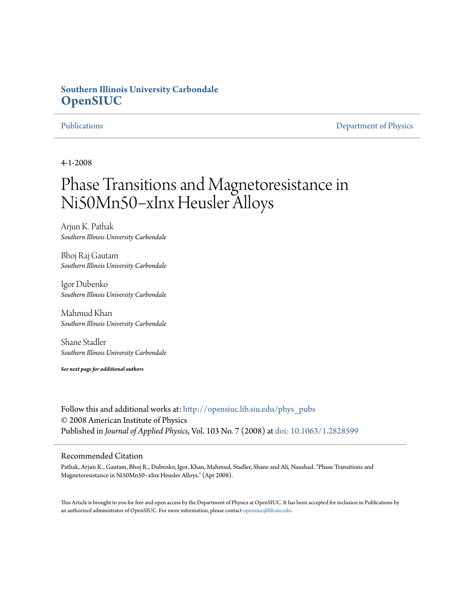# **Southern Illinois University Carbondale [OpenSIUC](http://opensiuc.lib.siu.edu?utm_source=opensiuc.lib.siu.edu%2Fphys_pubs%2F32&utm_medium=PDF&utm_campaign=PDFCoverPages)**

[Publications](http://opensiuc.lib.siu.edu/phys_pubs?utm_source=opensiuc.lib.siu.edu%2Fphys_pubs%2F32&utm_medium=PDF&utm_campaign=PDFCoverPages) [Department of Physics](http://opensiuc.lib.siu.edu/phys?utm_source=opensiuc.lib.siu.edu%2Fphys_pubs%2F32&utm_medium=PDF&utm_campaign=PDFCoverPages)

4-1-2008

# Phase Transitions and Magnetoresistance in Ni50Mn50−xInx Heusler Alloys

Arjun K. Pathak *Southern Illinois University Carbondale*

Bhoj Raj Gautam *Southern Illinois University Carbondale*

Igor Dubenko *Southern Illinois University Carbondale*

Mahmud Khan *Southern Illinois University Carbondale*

Shane Stadler *Southern Illinois University Carbondale*

*See next page for additional authors*

Follow this and additional works at: [http://opensiuc.lib.siu.edu/phys\\_pubs](http://opensiuc.lib.siu.edu/phys_pubs?utm_source=opensiuc.lib.siu.edu%2Fphys_pubs%2F32&utm_medium=PDF&utm_campaign=PDFCoverPages) © 2008 American Institute of Physics Published in *Journal of Applied Physics*, Vol. 103 No. 7 (2008) at [doi: 10.1063/1.2828599](http://dx.doi.org/10.1063/1.2828599)

### Recommended Citation

Pathak, Arjun K., Gautam, Bhoj R., Dubenko, Igor, Khan, Mahmud, Stadler, Shane and Ali, Naushad. "Phase Transitions and Magnetoresistance in Ni50Mn50−xInx Heusler Alloys." (Apr 2008).

This Article is brought to you for free and open access by the Department of Physics at OpenSIUC. It has been accepted for inclusion in Publications by an authorized administrator of OpenSIUC. For more information, please contact [opensiuc@lib.siu.edu.](mailto:opensiuc@lib.siu.edu)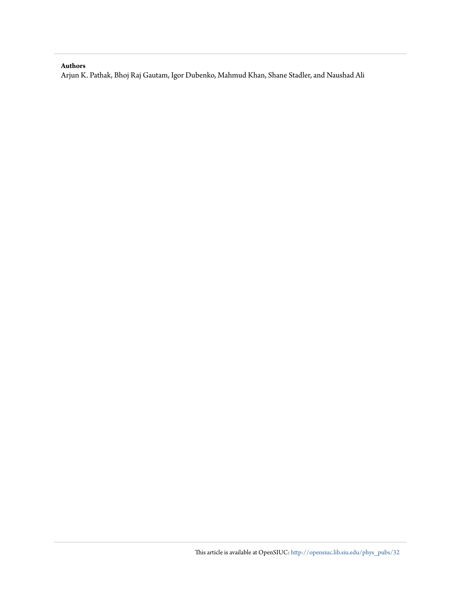### **Authors**

Arjun K. Pathak, Bhoj Raj Gautam, Igor Dubenko, Mahmud Khan, Shane Stadler, and Naushad Ali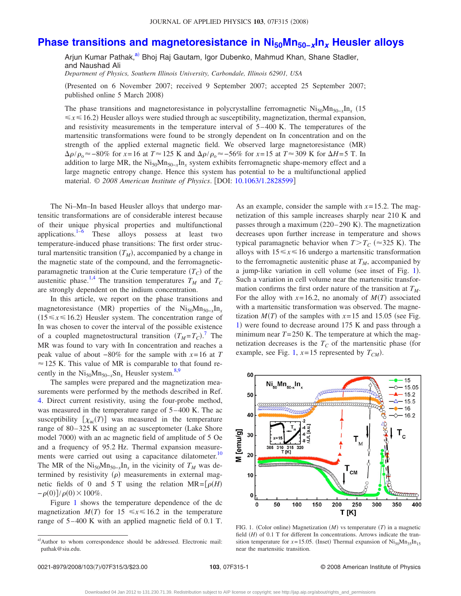## **Phase transitions and magnetoresistance in Ni<sub>50</sub>Mn<sub>50−</sub>***x***In<sub>***x***</sub> Heusler alloys**

Arjun Kumar Pathak,<sup>a)</sup> Bhoj Raj Gautam, Igor Dubenko, Mahmud Khan, Shane Stadler, and Naushad Ali

*Department of Physics, Southern Illinois University, Carbondale, Illinois 62901, USA*

Presented on 6 November 2007; received 9 September 2007; accepted 25 September 2007; published online 5 March 2008)

The phase transitions and magnetoresistance in polycrystalline ferromagnetic Ni<sub>50</sub>Mn<sub>50</sub><sub>*x*</sub>In<sub>*x*</sub> (15  $\leq x \leq 16.2$ ) Heusler alloys were studied through ac susceptibility, magnetization, thermal expansion, and resistivity measurements in the temperature interval of 5–400 K. The temperatures of the martensitic transformations were found to be strongly dependent on In concentration and on the strength of the applied external magnetic field. We observed large magnetoresistance (MR)  $\Delta \rho / \rho_0 \approx -80\%$  for *x*=16 at  $T \approx 125$  K and  $\Delta \rho / \rho_0 \approx -56\%$  for *x*=15 at  $T \approx 309$  K for  $\Delta H = 5$  T. In addition to large MR, the Ni<sub>50</sub>Mn<sub>50−*x*</sub>In<sub>*x*</sub> system exhibits ferromagnetic shape-memory effect and a large magnetic entropy change. Hence this system has potential to be a multifunctional applied material. © 2008 American Institute of Physics. [DOI: [10.1063/1.2828599](http://dx.doi.org/10.1063/1.2828599)]

The Ni–Mn–In based Heusler alloys that undergo martensitic transformations are of considerable interest because of their unique physical properties and multifunctional applications.<sup>1[–6](#page-6-1)</sup> These alloys possess at least two temperature-induced phase transitions: The first order structural martensitic transition  $(T_M)$ , accompanied by a change in the magnetic state of the compound, and the ferromagneticparamagnetic transition at the Curie temperature  $(T_C)$  of the austenitic phase.<sup>1,[4](#page-6-2)</sup> The transition temperatures  $T_M$  and  $T_C$ are strongly dependent on the indium concentration.

In this article, we report on the phase transitions and magnetoresistance (MR) properties of the Ni<sub>50</sub>Mn<sub>50−*x*</sub>In<sub>*x*</sub>  $(15 \le x \le 16.2)$  Heusler system. The concentration range of In was chosen to cover the interval of the possible existence of a coupled magnetostructural transition  $(T_M = T_C)$ .<sup>[7](#page-6-3)</sup> The MR was found to vary with In concentration and reaches a peak value of about −80% for the sample with *x*=16 at *T*  $\approx$  125 K. This value of MR is comparable to that found recently in the Ni<sub>50</sub>Mn<sub>50−*x*</sub>Sn<sub>*x*</sub> Heusler system.<sup>8[,9](#page-6-0)</sup>

The samples were prepared and the magnetization measurements were performed by the methods described in Ref. [4.](#page-6-2) Direct current resistivity, using the four-probe method, was measured in the temperature range of 5–400 K. The ac susceptibility  $[\chi_{ac}(T)]$  was measured in the temperature range of 80–325 K using an ac susceptometer Lake Shore model 7000) with an ac magnetic field of amplitude of 5 Oe and a frequency of 95.2 Hz. Thermal expansion measurements were carried out using a capacitance dilatometer.<sup>10</sup> The MR of the Ni<sub>50</sub>Mn<sub>50−*x*</sub>In<sub>*x*</sub> in the vicinity of  $T_M$  was determined by resistivity  $(\rho)$  measurements in external magnetic fields of 0 and 5 T using the relation  $MR = [\rho(H)]$  $-\rho(0)]/\rho(0) \times 100\%.$ 

Figure [1](#page-4-1) shows the temperature dependence of the dc magnetization  $M(T)$  for 15  $\leq x \leq 16.2$  in the temperature range of 5–400 K with an applied magnetic field of 0.1 T. As an example, consider the sample with *x*=15.2. The magnetization of this sample increases sharply near 210 K and passes through a maximum (220–290 K). The magnetization decreases upon further increase in temperature and shows typical paramagnetic behavior when  $T>T_C$  ( $\approx$ 325 K). The alloys with  $15 \le x \le 16$  undergo a martensitic transformation to the ferromagnetic austenitic phase at  $T_M$ , accompanied by a jump-like variation in cell volume (see inset of Fig. [1](#page-4-1)). Such a variation in cell volume near the martensitic transformation confirms the first order nature of the transition at  $T_M$ . For the alloy with  $x=16.2$ , no anomaly of  $M(T)$  associated with a martensitic transformation was observed. The magnetization  $M(T)$  of the samples with  $x=15$  and 15.05 (see Fig. [1](#page-4-1)) were found to decrease around 175 K and pass through a minimum near  $T = 250$  K. The temperature at which the magnetization decreases is the  $T_c$  of the martensitic phase (for example, see Fig. [1,](#page-4-1)  $x=15$  represented by  $T_{CM}$ ).

<span id="page-4-1"></span>

FIG. 1. (Color online) Magnetization  $(M)$  vs temperature  $(T)$  in a magnetic field  $(H)$  of 0.1 T for different In concentrations. Arrows indicate the transition temperature for  $x=15.05$ . (Inset) Thermal expansion of  $Ni<sub>50</sub>Mn<sub>35</sub>In<sub>15</sub>$ near the martensitic transition.

<span id="page-4-0"></span>a)Author to whom correspondence should be addressed. Electronic mail: pathak@siu.edu.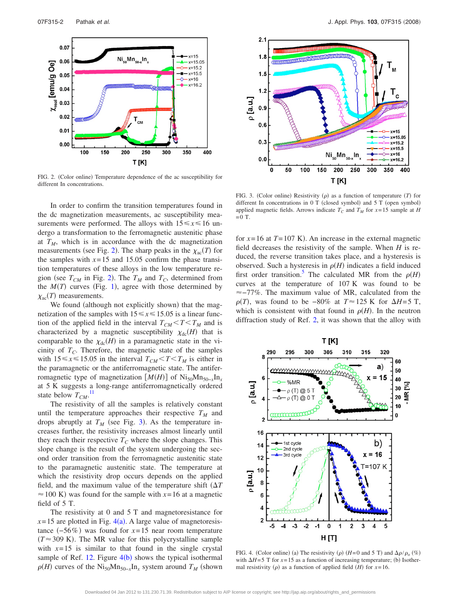<span id="page-5-0"></span>

FIG. 2. (Color online) Temperature dependence of the ac susceptibility for different In concentrations.

In order to confirm the transition temperatures found in the dc magnetization measurements, ac susceptibility measurements were performed. The alloys with  $15 \le x \le 16$  undergo a transformation to the ferromagnetic austenitic phase at  $T_M$ , which is in accordance with the dc magnetization measurements (see Fig. [2](#page-5-0)). The sharp peaks in the  $\chi_{ac}(T)$  for the samples with  $x=15$  and 15.05 confirm the phase transition temperatures of these alloys in the low temperature region (see  $T_{CM}$  in Fig. [2](#page-5-0)). The  $T_M$  and  $T_C$ , determined from the  $M(T)$  curves (Fig. [1](#page-4-1)), agree with those determined by  $\chi_{\rm ac}(T)$  measurements.

We found (although not explicitly shown) that the magnetization of the samples with  $15 \le x \le 15.05$  is a linear function of the applied field in the interval  $T_{CM} < T < T_M$  and is characterized by a magnetic susceptibility  $\chi_{dc}(H)$  that is comparable to the  $\chi_{dc}(H)$  in a paramagnetic state in the vicinity of  $T_c$ . Therefore, the magnetic state of the samples with  $15 \le x \le 15.05$  in the interval  $T_{CM} < T < T_M$  is either in the paramagnetic or the antiferromagnetic state. The antiferromagnetic type of magnetization  $[M(H)]$  of Ni<sub>50</sub>Mn<sub>50−*x*</sub>In<sub>*x*</sub> at 5 K suggests a long-range antiferromagnetically ordered state below  $T_{CM}$ .<sup>[11](#page-6-6)</sup>

The resistivity of all the samples is relatively constant until the temperature approaches their respective  $T_M$  and drops abruptly at  $T_M$  (see Fig. [3](#page-5-1)). As the temperature increases further, the resistivity increases almost linearly until they reach their respective  $T_C$  where the slope changes. This slope change is the result of the system undergoing the second order transition from the ferromagnetic austenitic state to the paramagnetic austenitic state. The temperature at which the resistivity drop occurs depends on the applied field, and the maximum value of the temperature shift  $(\Delta T)$  $\approx$  100 K) was found for the sample with  $x=16$  at a magnetic field of 5 T.

The resistivity at 0 and 5 T and magnetoresistance for  $x=15$  are plotted in Fig.  $4(a)$  $4(a)$ . A large value of magnetoresistance  $(-56\%)$  was found for  $x=15$  near room temperature  $(T \approx 309 \text{ K})$ . The MR value for this polycrystalline sample with  $x=15$  is similar to that found in the single crystal sample of Ref.  $12$ . Figure  $4(b)$  $4(b)$  shows the typical isothermal  $\rho(H)$  curves of the Ni<sub>50</sub>Mn<sub>50−*x*</sub>In<sub>*x*</sub> system around *T<sub>M</sub>* (shown

<span id="page-5-1"></span>

FIG. 3. (Color online) Resistivity  $(\rho)$  as a function of temperature  $(T)$  for different In concentrations in 0 T (closed symbol) and 5 T (open symbol) applied magnetic fields. Arrows indicate  $T_c$  and  $T_M$  for  $x=15$  sample at *H*  $=0$  T.

for  $x=16$  at  $T=107$  K). An increase in the external magnetic field decreases the resistivity of the sample. When *H* is reduced, the reverse transition takes place, and a hysteresis is observed. Such a hysteresis in  $\rho$ (*H*) indicates a field induced first order transition.<sup>5</sup> The calculated MR from the  $\rho(H)$ curves at the temperature of 107 K was found to be  $\approx$  -77%. The maximum value of MR, calculated from the  $\rho(T)$ , was found to be -80% at  $T \approx 125$  K for  $\Delta H = 5$  T, which is consistent with that found in  $\rho(H)$ . In the neutron diffraction study of Ref. [2,](#page-6-9) it was shown that the alloy with

<span id="page-5-2"></span>

FIG. 4. (Color online) (a) The resistivity ( $\rho$ ) ( $H=0$  and 5 T) and  $\Delta \rho / \rho_o$  (%) with  $\Delta H = 5$  T for  $x = 15$  as a function of increasing temperature; (b) Isothermal resistivity ( $\rho$ ) as a function of applied field (*H*) for  $x=16$ .